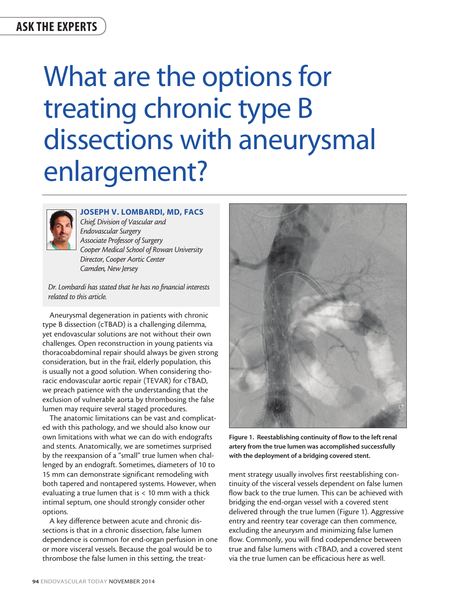# ASK THE EXPERTS

# What are the options for treating chronic type B dissections with aneurysmal enlargement?



# JOSEPH V. LOMBARDI, MD, FACS

*Chief, Division of Vascular and Endovascular Surgery Associate Professor of Surgery Cooper Medical School of Rowan University Director, Cooper Aortic Center Camden, New Jersey*

*Dr. Lombardi has stated that he has no financial interests related to this article.*

Aneurysmal degeneration in patients with chronic type B dissection (cTBAD) is a challenging dilemma, yet endovascular solutions are not without their own challenges. Open reconstruction in young patients via thoracoabdominal repair should always be given strong consideration, but in the frail, elderly population, this is usually not a good solution. When considering thoracic endovascular aortic repair (TEVAR) for cTBAD, we preach patience with the understanding that the exclusion of vulnerable aorta by thrombosing the false lumen may require several staged procedures.

The anatomic limitations can be vast and complicated with this pathology, and we should also know our own limitations with what we can do with endografts and stents. Anatomically, we are sometimes surprised by the reexpansion of a "small" true lumen when challenged by an endograft. Sometimes, diameters of 10 to 15 mm can demonstrate significant remodeling with both tapered and nontapered systems. However, when evaluating a true lumen that is < 10 mm with a thick intimal septum, one should strongly consider other options.

A key difference between acute and chronic dissections is that in a chronic dissection, false lumen dependence is common for end-organ perfusion in one or more visceral vessels. Because the goal would be to thrombose the false lumen in this setting, the treat-



Figure 1. Reestablishing continuity of flow to the left renal artery from the true lumen was accomplished successfully with the deployment of a bridging covered stent.

ment strategy usually involves first reestablishing continuity of the visceral vessels dependent on false lumen flow back to the true lumen. This can be achieved with bridging the end-organ vessel with a covered stent delivered through the true lumen (Figure 1). Aggressive entry and reentry tear coverage can then commence, excluding the aneurysm and minimizing false lumen flow. Commonly, you will find codependence between true and false lumens with cTBAD, and a covered stent via the true lumen can be efficacious here as well.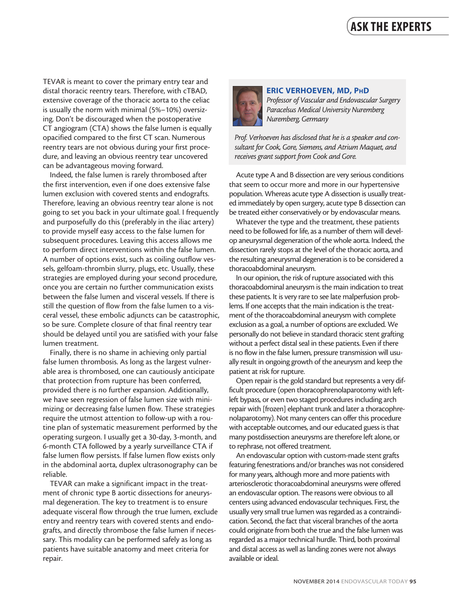TEVAR is meant to cover the primary entry tear and distal thoracic reentry tears. Therefore, with cTBAD, extensive coverage of the thoracic aorta to the celiac is usually the norm with minimal (5%–10%) oversizing. Don't be discouraged when the postoperative CT angiogram (CTA) shows the false lumen is equally opacified compared to the first CT scan. Numerous reentry tears are not obvious during your first procedure, and leaving an obvious reentry tear uncovered can be advantageous moving forward.

Indeed, the false lumen is rarely thrombosed after the first intervention, even if one does extensive false lumen exclusion with covered stents and endografts. Therefore, leaving an obvious reentry tear alone is not going to set you back in your ultimate goal. I frequently and purposefully do this (preferably in the iliac artery) to provide myself easy access to the false lumen for subsequent procedures. Leaving this access allows me to perform direct interventions within the false lumen. A number of options exist, such as coiling outflow vessels, gelfoam-thrombin slurry, plugs, etc. Usually, these strategies are employed during your second procedure, once you are certain no further communication exists between the false lumen and visceral vessels. If there is still the question of flow from the false lumen to a visceral vessel, these embolic adjuncts can be catastrophic, so be sure. Complete closure of that final reentry tear should be delayed until you are satisfied with your false lumen treatment.

Finally, there is no shame in achieving only partial false lumen thrombosis. As long as the largest vulnerable area is thrombosed, one can cautiously anticipate that protection from rupture has been conferred, provided there is no further expansion. Additionally, we have seen regression of false lumen size with minimizing or decreasing false lumen flow. These strategies require the utmost attention to follow-up with a routine plan of systematic measurement performed by the operating surgeon. I usually get a 30-day, 3-month, and 6-month CTA followed by a yearly surveillance CTA if false lumen flow persists. If false lumen flow exists only in the abdominal aorta, duplex ultrasonography can be reliable.

TEVAR can make a significant impact in the treatment of chronic type B aortic dissections for aneurysmal degeneration. The key to treatment is to ensure adequate visceral flow through the true lumen, exclude entry and reentry tears with covered stents and endografts, and directly thrombose the false lumen if necessary. This modality can be performed safely as long as patients have suitable anatomy and meet criteria for repair.



### ERIC VERHOEVEN, MD, PhD

*Professor of Vascular and Endovascular Surgery Paracelsus Medical University Nuremberg Nuremberg, Germany*

*Prof. Verhoeven has disclosed that he is a speaker and consultant for Cook, Gore, Siemens, and Atrium Maquet, and receives grant support from Cook and Gore.* 

Acute type A and B dissection are very serious conditions that seem to occur more and more in our hypertensive population. Whereas acute type A dissection is usually treated immediately by open surgery, acute type B dissection can be treated either conservatively or by endovascular means.

Whatever the type and the treatment, these patients need to be followed for life, as a number of them will develop aneurysmal degeneration of the whole aorta. Indeed, the dissection rarely stops at the level of the thoracic aorta, and the resulting aneurysmal degeneration is to be considered a thoracoabdominal aneurysm.

In our opinion, the risk of rupture associated with this thoracoabdominal aneurysm is the main indication to treat these patients. It is very rare to see late malperfusion problems. If one accepts that the main indication is the treatment of the thoracoabdominal aneurysm with complete exclusion as a goal, a number of options are excluded. We personally do not believe in standard thoracic stent grafting without a perfect distal seal in these patients. Even if there is no flow in the false lumen, pressure transmission will usually result in ongoing growth of the aneurysm and keep the patient at risk for rupture.

Open repair is the gold standard but represents a very difficult procedure (open thoracophrenolaparotomy with leftleft bypass, or even two staged procedures including arch repair with [frozen] elephant trunk and later a thoracophrenolaparotomy). Not many centers can offer this procedure with acceptable outcomes, and our educated guess is that many postdissection aneurysms are therefore left alone, or to rephrase, not offered treatment.

An endovascular option with custom-made stent grafts featuring fenestrations and/or branches was not considered for many years, although more and more patients with arteriosclerotic thoracoabdominal aneurysms were offered an endovascular option. The reasons were obvious to all centers using advanced endovascular techniques. First, the usually very small true lumen was regarded as a contraindication. Second, the fact that visceral branches of the aorta could originate from both the true and the false lumen was regarded as a major technical hurdle. Third, both proximal and distal access as well as landing zones were not always available or ideal.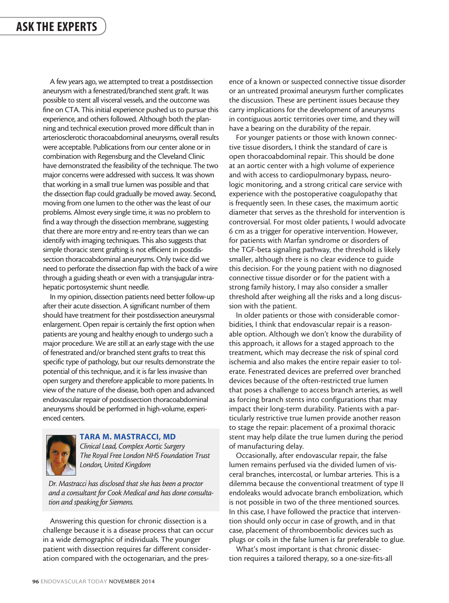A few years ago, we attempted to treat a postdissection aneurysm with a fenestrated/branched stent graft. It was possible to stent all visceral vessels, and the outcome was fine on CTA. This initial experience pushed us to pursue this experience, and others followed. Although both the planning and technical execution proved more difficult than in arteriosclerotic thoracoabdominal aneurysms, overall results were acceptable. Publications from our center alone or in combination with Regensburg and the Cleveland Clinic have demonstrated the feasibility of the technique. The two major concerns were addressed with success. It was shown that working in a small true lumen was possible and that the dissection flap could gradually be moved away. Second, moving from one lumen to the other was the least of our problems. Almost every single time, it was no problem to find a way through the dissection membrane, suggesting that there are more entry and re-entry tears than we can identify with imaging techniques. This also suggests that simple thoracic stent grafting is not efficient in postdissection thoracoabdominal aneurysms. Only twice did we need to perforate the dissection flap with the back of a wire through a guiding sheath or even with a transjugular intrahepatic portosystemic shunt needle.

In my opinion, dissection patients need better follow-up after their acute dissection. A significant number of them should have treatment for their postdissection aneurysmal enlargement. Open repair is certainly the first option when patients are young and healthy enough to undergo such a major procedure. We are still at an early stage with the use of fenestrated and/or branched stent grafts to treat this specific type of pathology, but our results demonstrate the potential of this technique, and it is far less invasive than open surgery and therefore applicable to more patients. In view of the nature of the disease, both open and advanced endovascular repair of postdissection thoracoabdominal aneurysms should be performed in high-volume, experienced centers.



# TARA M. MASTRACCI, MD

*Clinical Lead, Complex Aortic Surgery The Royal Free London NHS Foundation Trust London, United Kingdom*

*Dr. Mastracci has disclosed that she has been a proctor and a consultant for Cook Medical and has done consultation and speaking for Siemens.*

Answering this question for chronic dissection is a challenge because it is a disease process that can occur in a wide demographic of individuals. The younger patient with dissection requires far different consideration compared with the octogenarian, and the presence of a known or suspected connective tissue disorder or an untreated proximal aneurysm further complicates the discussion. These are pertinent issues because they carry implications for the development of aneurysms in contiguous aortic territories over time, and they will have a bearing on the durability of the repair.

For younger patients or those with known connective tissue disorders, I think the standard of care is open thoracoabdominal repair. This should be done at an aortic center with a high volume of experience and with access to cardiopulmonary bypass, neurologic monitoring, and a strong critical care service with experience with the postoperative coagulopathy that is frequently seen. In these cases, the maximum aortic diameter that serves as the threshold for intervention is controversial. For most older patients, I would advocate 6 cm as a trigger for operative intervention. However, for patients with Marfan syndrome or disorders of the TGF-beta signaling pathway, the threshold is likely smaller, although there is no clear evidence to guide this decision. For the young patient with no diagnosed connective tissue disorder or for the patient with a strong family history, I may also consider a smaller threshold after weighing all the risks and a long discussion with the patient.

In older patients or those with considerable comorbidities, I think that endovascular repair is a reasonable option. Although we don't know the durability of this approach, it allows for a staged approach to the treatment, which may decrease the risk of spinal cord ischemia and also makes the entire repair easier to tolerate. Fenestrated devices are preferred over branched devices because of the often-restricted true lumen that poses a challenge to access branch arteries, as well as forcing branch stents into configurations that may impact their long-term durability. Patients with a particularly restrictive true lumen provide another reason to stage the repair: placement of a proximal thoracic stent may help dilate the true lumen during the period of manufacturing delay.

Occasionally, after endovascular repair, the false lumen remains perfused via the divided lumen of visceral branches, intercostal, or lumbar arteries. This is a dilemma because the conventional treatment of type II endoleaks would advocate branch embolization, which is not possible in two of the three mentioned sources. In this case, I have followed the practice that intervention should only occur in case of growth, and in that case, placement of thromboembolic devices such as plugs or coils in the false lumen is far preferable to glue.

What's most important is that chronic dissection requires a tailored therapy, so a one-size-fits-all